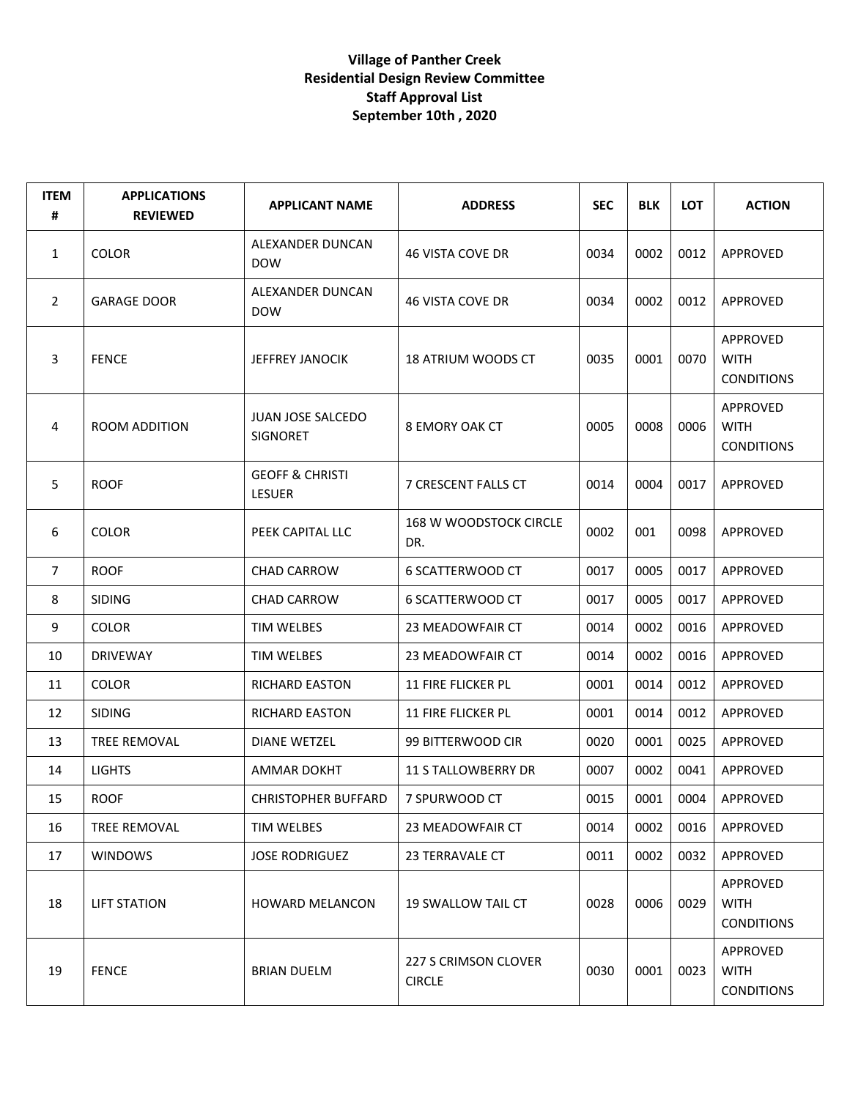## **Village of Panther Creek Residential Design Review Committee Staff Approval List September 10th , 2020**

| <b>ITEM</b><br># | <b>APPLICATIONS</b><br><b>REVIEWED</b> | <b>APPLICANT NAME</b>                       | <b>ADDRESS</b>                        | <b>SEC</b> | <b>BLK</b> | <b>LOT</b> | <b>ACTION</b>                                |
|------------------|----------------------------------------|---------------------------------------------|---------------------------------------|------------|------------|------------|----------------------------------------------|
| 1                | <b>COLOR</b>                           | ALEXANDER DUNCAN<br><b>DOW</b>              | <b>46 VISTA COVE DR</b>               | 0034       | 0002       | 0012       | APPROVED                                     |
| 2                | <b>GARAGE DOOR</b>                     | ALEXANDER DUNCAN<br><b>DOW</b>              | 46 VISTA COVE DR                      | 0034       | 0002       | 0012       | APPROVED                                     |
| 3                | <b>FENCE</b>                           | <b>JEFFREY JANOCIK</b>                      | <b>18 ATRIUM WOODS CT</b>             | 0035       | 0001       | 0070       | APPROVED<br><b>WITH</b><br><b>CONDITIONS</b> |
| 4                | ROOM ADDITION                          | JUAN JOSE SALCEDO<br><b>SIGNORET</b>        | 8 EMORY OAK CT                        | 0005       | 0008       | 0006       | APPROVED<br><b>WITH</b><br><b>CONDITIONS</b> |
| 5                | <b>ROOF</b>                            | <b>GEOFF &amp; CHRISTI</b><br><b>LESUER</b> | 7 CRESCENT FALLS CT                   | 0014       | 0004       | 0017       | APPROVED                                     |
| 6                | <b>COLOR</b>                           | PEEK CAPITAL LLC                            | 168 W WOODSTOCK CIRCLE<br>DR.         | 0002       | 001        | 0098       | APPROVED                                     |
| 7                | <b>ROOF</b>                            | <b>CHAD CARROW</b>                          | 6 SCATTERWOOD CT                      | 0017       | 0005       | 0017       | APPROVED                                     |
| 8                | <b>SIDING</b>                          | <b>CHAD CARROW</b>                          | 6 SCATTERWOOD CT                      | 0017       | 0005       | 0017       | APPROVED                                     |
| 9                | <b>COLOR</b>                           | TIM WELBES                                  | 23 MEADOWFAIR CT                      | 0014       | 0002       | 0016       | APPROVED                                     |
| 10               | <b>DRIVEWAY</b>                        | TIM WELBES                                  | 23 MEADOWFAIR CT                      | 0014       | 0002       | 0016       | APPROVED                                     |
| 11               | <b>COLOR</b>                           | <b>RICHARD EASTON</b>                       | <b>11 FIRE FLICKER PL</b>             | 0001       | 0014       | 0012       | APPROVED                                     |
| 12               | <b>SIDING</b>                          | RICHARD EASTON                              | <b>11 FIRE FLICKER PL</b>             | 0001       | 0014       | 0012       | APPROVED                                     |
| 13               | <b>TREE REMOVAL</b>                    | <b>DIANE WETZEL</b>                         | 99 BITTERWOOD CIR                     | 0020       | 0001       | 0025       | APPROVED                                     |
| 14               | <b>LIGHTS</b>                          | <b>AMMAR DOKHT</b>                          | <b>11 S TALLOWBERRY DR</b>            | 0007       | 0002       | 0041       | APPROVED                                     |
| 15               | <b>ROOF</b>                            | <b>CHRISTOPHER BUFFARD</b>                  | 7 SPURWOOD CT                         | 0015       | 0001       | 0004       | APPROVED                                     |
| 16               | TREE REMOVAL                           | <b>TIM WELBES</b>                           | 23 MEADOWFAIR CT                      | 0014       | 0002       | 0016       | APPROVED                                     |
| 17               | <b>WINDOWS</b>                         | <b>JOSE RODRIGUEZ</b>                       | 23 TERRAVALE CT                       | 0011       | 0002       | 0032       | APPROVED                                     |
| 18               | <b>LIFT STATION</b>                    | <b>HOWARD MELANCON</b>                      | 19 SWALLOW TAIL CT                    | 0028       | 0006       | 0029       | APPROVED<br><b>WITH</b><br><b>CONDITIONS</b> |
| 19               | <b>FENCE</b>                           | <b>BRIAN DUELM</b>                          | 227 S CRIMSON CLOVER<br><b>CIRCLE</b> | 0030       | 0001       | 0023       | APPROVED<br><b>WITH</b><br><b>CONDITIONS</b> |